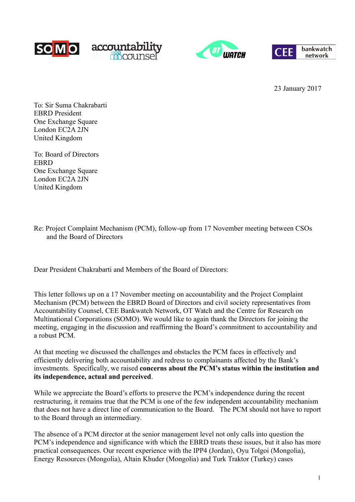





23 January 2017

To: Sir Suma Chakrabarti EBRD President One Exchange Square London EC2A 2JN United Kingdom

To: Board of Directors **EBRD** One Exchange Square London EC2A 2JN United Kingdom

Re: Project Complaint Mechanism (PCM), follow-up from 17 November meeting between CSOs and the Board of Directors

Dear President Chakrabarti and Members of the Board of Directors:

This letter follows up on a 17 November meeting on accountability and the Project Complaint Mechanism (PCM) between the EBRD Board of Directors and civil society representatives from Accountability Counsel, CEE Bankwatch Network, OT Watch and the Centre for Research on Multinational Corporations (SOMO). We would like to again thank the Directors for joining the meeting, engaging in the discussion and reaffirming the Board's commitment to accountability and a robust PCM.

At that meeting we discussed the challenges and obstacles the PCM faces in effectively and efficiently delivering both accountability and redress to complainants affected by the Bank's investments. Specifically, we raised **concerns about the PCM's status within the institution and its independence, actual and perceived**.

While we appreciate the Board's efforts to preserve the PCM's independence during the recent restructuring, it remains true that the PCM is one of the few independent accountability mechanism that does not have a direct line of communication to the Board. The PCM should not have to report to the Board through an intermediary.

The absence of a PCM director at the senior management level not only calls into question the PCM's independence and significance with which the EBRD treats these issues, but it also has more practical consequences. Our recent experience with the IPP4 (Jordan), Oyu Tolgoi (Mongolia), Energy Resources (Mongolia), Altain Khuder (Mongolia) and Turk Traktor (Turkey) cases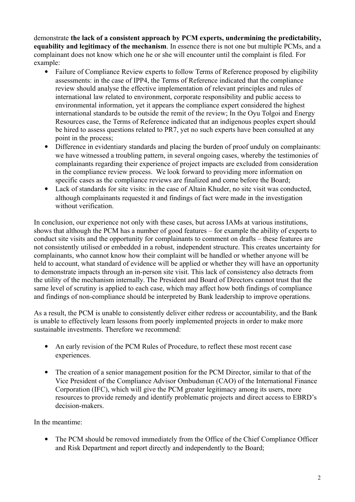demonstrate **the lack of a consistent approach by PCM experts, undermining the predictability, equability and legitimacy of the mechanism**. In essence there is not one but multiple PCMs, and a complainant does not know which one he or she will encounter until the complaint is filed. For example:

- Failure of Compliance Review experts to follow Terms of Reference proposed by eligibility assessments: in the case of IPP4, the Terms of Reference indicated that the compliance review should analyse the effective implementation of relevant principles and rules of international law related to environment, corporate responsibility and public access to environmental information, yet it appears the compliance expert considered the highest international standards to be outside the remit of the review; In the Oyu Tolgoi and Energy Resources case, the Terms of Reference indicated that an indigenous peoples expert should be hired to assess questions related to PR7, yet no such experts have been consulted at any point in the process;
- Difference in evidentiary standards and placing the burden of proof unduly on complainants: we have witnessed a troubling pattern, in several ongoing cases, whereby the testimonies of complainants regarding their experience of project impacts are excluded from consideration in the compliance review process. We look forward to providing more information on specific cases as the compliance reviews are finalized and come before the Board;
- Lack of standards for site visits: in the case of Altain Khuder, no site visit was conducted, although complainants requested it and findings of fact were made in the investigation without verification.

In conclusion, our experience not only with these cases, but across IAMs at various institutions, shows that although the PCM has a number of good features – for example the ability of experts to conduct site visits and the opportunity for complainants to comment on drafts – these features are not consistently utilised or embedded in a robust, independent structure. This creates uncertainty for complainants, who cannot know how their complaint will be handled or whether anyone will be held to account, what standard of evidence will be applied or whether they will have an opportunity to demonstrate impacts through an in-person site visit. This lack of consistency also detracts from the utility of the mechanism internally. The President and Board of Directors cannot trust that the same level of scrutiny is applied to each case, which may affect how both findings of compliance and findings of non-compliance should be interpreted by Bank leadership to improve operations.

As a result, the PCM is unable to consistently deliver either redress or accountability, and the Bank is unable to effectively learn lessons from poorly implemented projects in order to make more sustainable investments. Therefore we recommend:

- An early revision of the PCM Rules of Procedure, to reflect these most recent case experiences.
- The creation of a senior management position for the PCM Director, similar to that of the Vice President of the Compliance Advisor Ombudsman (CAO) of the International Finance Corporation (IFC), which will give the PCM greater legitimacy among its users, more resources to provide remedy and identify problematic projects and direct access to EBRD's decision-makers.

In the meantime:

 The PCM should be removed immediately from the Office of the Chief Compliance Officer and Risk Department and report directly and independently to the Board;